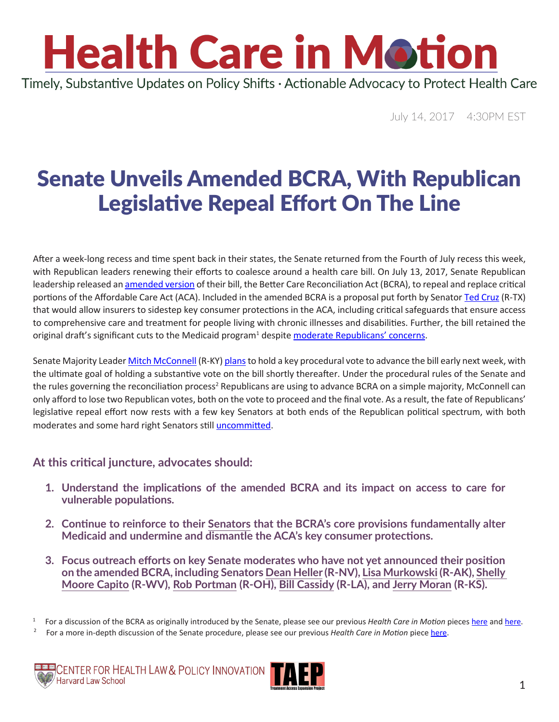### **Health Care in Motion** Timely, Substantive Updates on Policy Shifts · Actionable Advocacy to Protect Health Care

July 14, 2017 4:30PM EST

### Senate Unveils Amended BCRA, With Republican Legislative Repeal Effort On The Line

After a week-long recess and time spent back in their states, the Senate returned from the Fourth of July recess this week, with Republican leaders renewing their efforts to coalesce around a health care bill. On July 13, 2017, Senate Republican leadership released an [amended version](https://www.budget.senate.gov/imo/media/doc/BetterCareJuly13.2017.pdf) of their bill, the Better Care Reconciliation Act (BCRA), to repeal and replace critical portions of the Affordable Care Act (ACA). Included in the amended BCRA is a proposal put forth by Senator [Ted Cruz](https://www.cruz.senate.gov/?p=email_senator) (R-TX) that would allow insurers to sidestep key consumer protections in the ACA, including critical safeguards that ensure access to comprehensive care and treatment for people living with chronic illnesses and disabilities. Further, the bill retained the original draft's significant cuts to the Medicaid program<sup>1</sup> despite **moderate Republicans' concerns**.

Senate Majority Leader [Mitch McConnell](https://www.mcconnell.senate.gov/public/index.cfm/contact) (R-KY) [plans](http://talkingpointsmemo.com/dc/mcconnell-health-care-next-week-recess-delay?utm_content=buffer1cf06&utm_medium=social&utm_source=twitter.com&utm_campaign=buffer) to hold a key procedural vote to advance the bill early next week, with the ultimate goal of holding a substantive vote on the bill shortly thereafter. Under the procedural rules of the Senate and the rules governing the reconciliation process<sup>2</sup> Republicans are using to advance BCRA on a simple majority, McConnell can only afford to lose two Republican votes, both on the vote to proceed and the final vote. As a result, the fate of Republicans' legislative repeal effort now rests with a few key Senators at both ends of the Republican political spectrum, with both moderates and some hard right Senators still [uncommitted.](https://www.nytimes.com/interactive/2017/07/13/us/politics/100000005262584.mobile.html?_r=0)

#### **At this critical juncture, advocates should:**

- **1. Understand the implications of the amended BCRA and its impact on access to care for vulnerable populations.**
- **2. Continue to reinforce to their [Senators](https://www.senate.gov/senators/contact/) that the BCRA's core provisions fundamentally alter Medicaid and undermine and dismantle the ACA's key consumer protections.**
- **3. Focus outreach efforts on key Senate moderates who have not yet announced their position on the amended BCRA, including Senators [Dean Heller](https://www.heller.senate.gov/public/index.cfm/contact-form) (R-NV), [Lisa Murkowski](https://www.murkowski.senate.gov/contact) (R-AK), [Shelly](https://www.capito.senate.gov/contact/contact-shelley)  [Moore Capito](https://www.capito.senate.gov/contact/contact-shelley) (R-WV), [Rob Portman](https://www.portman.senate.gov/public/index.cfm/contact-form) (R-OH), [Bill Cassidy](https://www.cassidy.senate.gov/contact) (R-LA), and [Jerry Moran](https://www.moran.senate.gov/public/) (R-KS).**

<sup>1</sup> For a discussion of the BCRA as originally introduced by the Senate, please see our previous *Health Care in Motion* pieces [here](http://www.chlpi.org/wp-content/uploads/2013/12/HCIM_06_23_2017.pdf) and [here.](http://www.chlpi.org/wp-content/uploads/2013/12/HCIM_06_30_2017.pdf)

<sup>&</sup>lt;sup>2</sup> For a more in-depth discussion of the Senate procedure, please see our previous *Health Care in Motion* piece [here.](http://www.chlpi.org/wp-content/uploads/2013/12/Repeal-Reconciliation-and-Review-circulation2.pdf)



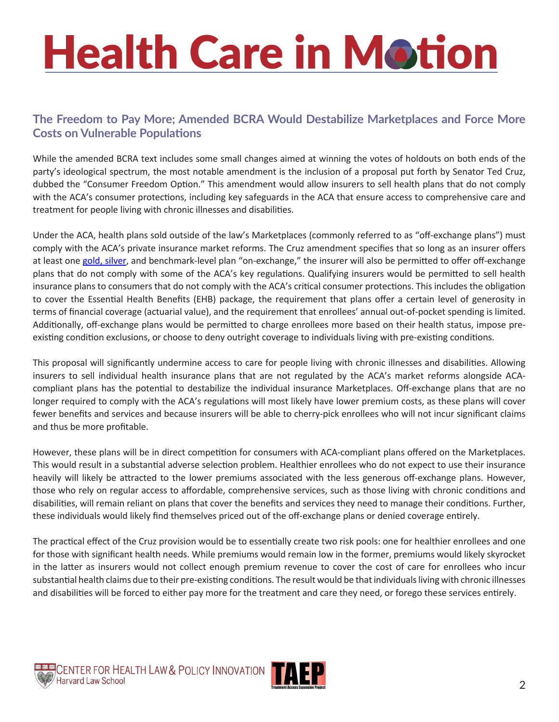# **Health Care in Motion**

#### **The Freedom to Pay More; Amended BCRA Would Destabilize Marketplaces and Force More Costs on Vulnerable Populations**

While the amended BCRA text includes some small changes aimed at winning the votes of holdouts on both ends of the party's ideological spectrum, the most notable amendment is the inclusion of a proposal put forth by Senator Ted Cruz, dubbed the "Consumer Freedom Option." This amendment would allow insurers to sell health plans that do not comply with the ACA's consumer protections, including key safeguards in the ACA that ensure access to comprehensive care and treatment for people living with chronic illnesses and disabilities.

Under the ACA, health plans sold outside of the law's Marketplaces (commonly referred to as "off-exchange plans") must comply with the ACA's private insurance market reforms. The Cruz amendment specifies that so long as an insurer offers at least one [gold, silver](https://www.healthcare.gov/choose-a-plan/plans-categories/), and benchmark-level plan "on-exchange," the insurer will also be permitted to offer off-exchange plans that do not comply with some of the ACA's key regulations. Qualifying insurers would be permitted to sell health insurance plans to consumers that do not comply with the ACA's critical consumer protections. This includes the obligation to cover the Essential Health Benefits (EHB) package, the requirement that plans offer a certain level of generosity in terms of financial coverage (actuarial value), and the requirement that enrollees' annual out-of-pocket spending is limited. Additionally, off-exchange plans would be permitted to charge enrollees more based on their health status, impose preexisting condition exclusions, or choose to deny outright coverage to individuals living with pre-existing conditions.

This proposal will significantly undermine access to care for people living with chronic illnesses and disabilities. Allowing insurers to sell individual health insurance plans that are not regulated by the ACA's market reforms alongside ACAcompliant plans has the potential to destabilize the individual insurance Marketplaces. Off-exchange plans that are no longer required to comply with the ACA's regulations will most likely have lower premium costs, as these plans will cover fewer benefits and services and because insurers will be able to cherry-pick enrollees who will not incur significant claims and thus be more profitable.

However, these plans will be in direct competition for consumers with ACA-compliant plans offered on the Marketplaces. This would result in a substantial adverse selection problem. Healthier enrollees who do not expect to use their insurance heavily will likely be attracted to the lower premiums associated with the less generous off-exchange plans. However, those who rely on regular access to affordable, comprehensive services, such as those living with chronic conditions and disabilities, will remain reliant on plans that cover the benefits and services they need to manage their conditions. Further, these individuals would likely find themselves priced out of the off-exchange plans or denied coverage entirely.

The practical effect of the Cruz provision would be to essentially create two risk pools: one for healthier enrollees and one for those with significant health needs. While premiums would remain low in the former, premiums would likely skyrocket in the latter as insurers would not collect enough premium revenue to cover the cost of care for enrollees who incur substantial health claims due to their pre-existing conditions. The result would be that individuals living with chronic illnesses and disabilities will be forced to either pay more for the treatment and care they need, or forego these services entirely.



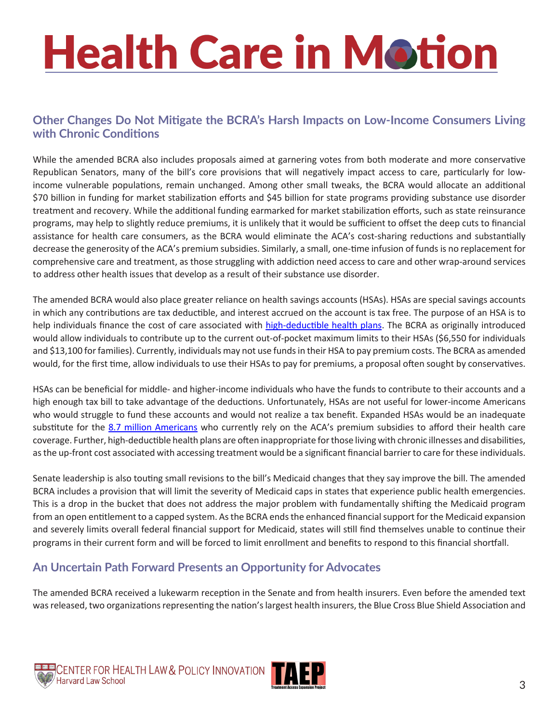# **Health Care in Motion**

#### **Other Changes Do Not Mitigate the BCRA's Harsh Impacts on Low-Income Consumers Living with Chronic Conditions**

While the amended BCRA also includes proposals aimed at garnering votes from both moderate and more conservative Republican Senators, many of the bill's core provisions that will negatively impact access to care, particularly for lowincome vulnerable populations, remain unchanged. Among other small tweaks, the BCRA would allocate an additional \$70 billion in funding for market stabilization efforts and \$45 billion for state programs providing substance use disorder treatment and recovery. While the additional funding earmarked for market stabilization efforts, such as state reinsurance programs, may help to slightly reduce premiums, it is unlikely that it would be sufficient to offset the deep cuts to financial assistance for health care consumers, as the BCRA would eliminate the ACA's cost-sharing reductions and substantially decrease the generosity of the ACA's premium subsidies. Similarly, a small, one-time infusion of funds is no replacement for comprehensive care and treatment, as those struggling with addiction need access to care and other wrap-around services to address other health issues that develop as a result of their substance use disorder.

The amended BCRA would also place greater reliance on health savings accounts (HSAs). HSAs are special savings accounts in which any contributions are tax deductible, and interest accrued on the account is tax free. The purpose of an HSA is to help individuals finance the cost of care associated with [high-deductible health plans](http://www.consumerreports.org/health-insurance/high-deductible-health-plan/). The BCRA as originally introduced would allow individuals to contribute up to the current out-of-pocket maximum limits to their HSAs (\$6,550 for individuals and \$13,100 for families). Currently, individuals may not use funds in their HSA to pay premium costs. The BCRA as amended would, for the first time, allow individuals to use their HSAs to pay for premiums, a proposal often sought by conservatives.

HSAs can be beneficial for middle- and higher-income individuals who have the funds to contribute to their accounts and a high enough tax bill to take advantage of the deductions. Unfortunately, HSAs are not useful for lower-income Americans who would struggle to fund these accounts and would not realize a tax benefit. Expanded HSAs would be an inadequate substitute for the [8.7 million Americans](http://www.kff.org/health-reform/state-indicator/average-monthly-advance-premium-tax-credit-aptc/?currentTimeframe=0&sortModel=%7B%22colId%22:%22Location%22,%22sort%22:%22asc%22%7D) who currently rely on the ACA's premium subsidies to afford their health care coverage. Further, high-deductible health plans are often inappropriate for those living with chronic illnesses and disabilities, as the up-front cost associated with accessing treatment would be a significant financial barrier to care for these individuals.

Senate leadership is also touting small revisions to the bill's Medicaid changes that they say improve the bill. The amended BCRA includes a provision that will limit the severity of Medicaid caps in states that experience public health emergencies. This is a drop in the bucket that does not address the major problem with fundamentally shifting the Medicaid program from an open entitlement to a capped system. As the BCRA ends the enhanced financial support for the Medicaid expansion and severely limits overall federal financial support for Medicaid, states will still find themselves unable to continue their programs in their current form and will be forced to limit enrollment and benefits to respond to this financial shortfall.

### **An Uncertain Path Forward Presents an Opportunity for Advocates**

The amended BCRA received a lukewarm reception in the Senate and from health insurers. Even before the amended text was released, two organizations representing the nation's largest health insurers, the Blue Cross Blue Shield Association and